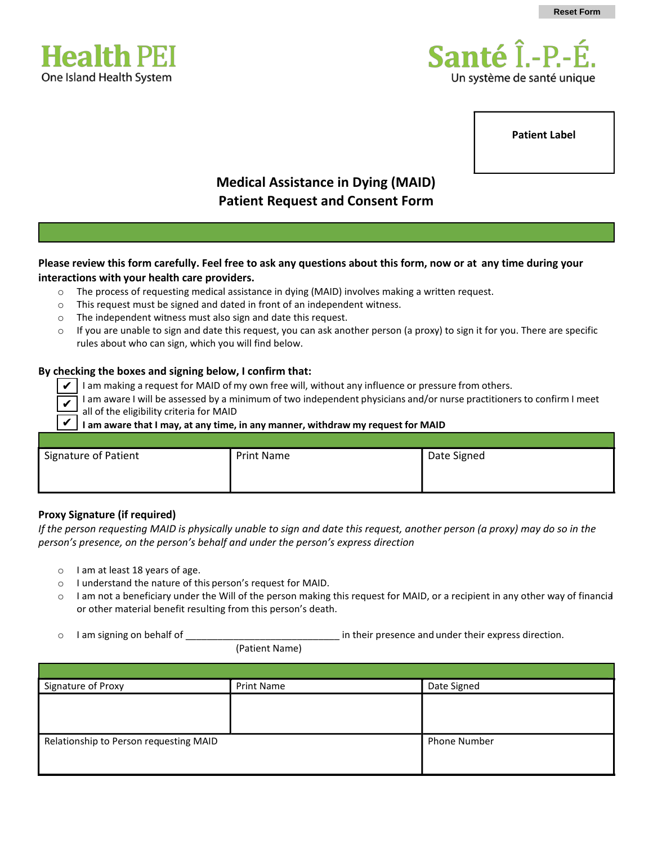



**Patient Label**

# **Medical Assistance in Dying (MAID) Patient Request and Consent Form**

## **Please review this form carefully. Feel free to ask any questions about this form, now or at any time during your interactions with your health care providers.**

- o The process of requesting medical assistance in dying (MAID) involves making a written request.
- o This request must be signed and dated in front of an independent witness.
- o The independent witness must also sign and date this request.
- $\circ$  If you are unable to sign and date this request, you can ask another person (a proxy) to sign it for you. There are specific rules about who can sign, which you will find below.

#### **By checking the boxes and signing below, I confirm that:**

- I am making a request for MAID of my own free will, without any influence or pressure from others.  $\checkmark$
- I am aware I will be assessed by a minimum of two independent physicians and/or nurse practitioners to confirm I meet all of the eligibility criteria for MAID ✔

**I am aware that I may, at any time, in any manner, withdraw my request for MAID** ✔

| Signature of Patient | <b>Print Name</b> | Date Signed |
|----------------------|-------------------|-------------|

#### **Proxy Signature (if required)**

*If the person requesting MAID is physically unable to sign and date this request, another person (a proxy) may do so in the person's presence, on the person's behalf and under the person's express direction* 

- o I am at least 18 years of age.
- o I understand the nature of this person's request for MAID.
- $\circ$  I am not a beneficiary under the Will of the person making this request for MAID, or a recipient in any other way of financial or other material benefit resulting from this person's death.
- 

 $\circ$  I am signing on behalf of  $\circ$  in their presence and under their express direction.

(Patient Name)

| Signature of Proxy                     | <b>Print Name</b> | Date Signed         |
|----------------------------------------|-------------------|---------------------|
|                                        |                   |                     |
|                                        |                   |                     |
|                                        |                   |                     |
| Relationship to Person requesting MAID |                   | <b>Phone Number</b> |
|                                        |                   |                     |
|                                        |                   |                     |